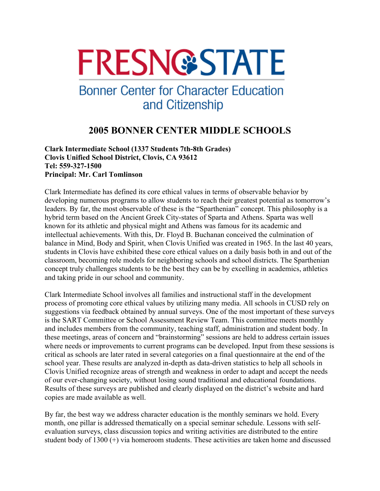# **FRESN@STATE**

## **Bonner Center for Character Education** and Citizenship

### **2005 BONNER CENTER MIDDLE SCHOOLS**

**Clark Intermediate School (1337 Students 7th-8th Grades) Clovis Unified School District, Clovis, CA 93612 Tel: 559-327-1500 Principal: Mr. Carl Tomlinson** 

Clark Intermediate has defined its core ethical values in terms of observable behavior by developing numerous programs to allow students to reach their greatest potential as tomorrow's leaders. By far, the most observable of these is the "Sparthenian" concept. This philosophy is a hybrid term based on the Ancient Greek City-states of Sparta and Athens. Sparta was well known for its athletic and physical might and Athens was famous for its academic and intellectual achievements. With this, Dr. Floyd B. Buchanan conceived the culmination of balance in Mind, Body and Spirit, when Clovis Unified was created in 1965. In the last 40 years, students in Clovis have exhibited these core ethical values on a daily basis both in and out of the classroom, becoming role models for neighboring schools and school districts. The Sparthenian concept truly challenges students to be the best they can be by excelling in academics, athletics and taking pride in our school and community.

Clark Intermediate School involves all families and instructional staff in the development process of promoting core ethical values by utilizing many media. All schools in CUSD rely on suggestions via feedback obtained by annual surveys. One of the most important of these surveys is the SART Committee or School Assessment Review Team. This committee meets monthly and includes members from the community, teaching staff, administration and student body. In these meetings, areas of concern and "brainstorming" sessions are held to address certain issues where needs or improvements to current programs can be developed. Input from these sessions is critical as schools are later rated in several categories on a final questionnaire at the end of the school year. These results are analyzed in-depth as data-driven statistics to help all schools in Clovis Unified recognize areas of strength and weakness in order to adapt and accept the needs of our ever-changing society, without losing sound traditional and educational foundations. Results of these surveys are published and clearly displayed on the district's website and hard copies are made available as well.

By far, the best way we address character education is the monthly seminars we hold. Every month, one pillar is addressed thematically on a special seminar schedule. Lessons with selfevaluation surveys, class discussion topics and writing activities are distributed to the entire student body of 1300 (+) via homeroom students. These activities are taken home and discussed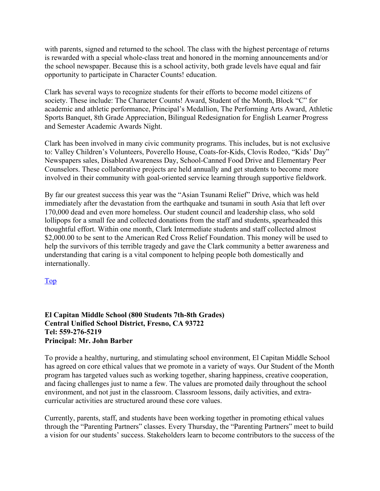with parents, signed and returned to the school. The class with the highest percentage of returns is rewarded with a special whole-class treat and honored in the morning announcements and/or the school newspaper. Because this is a school activity, both grade levels have equal and fair opportunity to participate in Character Counts! education.

Clark has several ways to recognize students for their efforts to become model citizens of society. These include: The Character Counts! Award, Student of the Month, Block "C" for academic and athletic performance, Principal's Medallion, The Performing Arts Award, Athletic Sports Banquet, 8th Grade Appreciation, Bilingual Redesignation for English Learner Progress and Semester Academic Awards Night.

Clark has been involved in many civic community programs. This includes, but is not exclusive to: Valley Children's Volunteers, Poverello House, Coats-for-Kids, Clovis Rodeo, "Kids' Day" Newspapers sales, Disabled Awareness Day, School-Canned Food Drive and Elementary Peer Counselors. These collaborative projects are held annually and get students to become more involved in their community with goal-oriented service learning through supportive fieldwork.

By far our greatest success this year was the "Asian Tsunami Relief" Drive, which was held immediately after the devastation from the earthquake and tsunami in south Asia that left over 170,000 dead and even more homeless. Our student council and leadership class, who sold lollipops for a small fee and collected donations from the staff and students, spearheaded this thoughtful effort. Within one month, Clark Intermediate students and staff collected almost \$2,000.00 to be sent to the American Red Cross Relief Foundation. This money will be used to help the survivors of this terrible tragedy and gave the Clark community a better awareness and understanding that caring is a vital component to helping people both domestically and internationally.

Top

#### **El Capitan Middle School (800 Students 7th-8th Grades) Central Unified School District, Fresno, CA 93722 Tel: 559-276-5219 Principal: Mr. John Barber**

To provide a healthy, nurturing, and stimulating school environment, El Capitan Middle School has agreed on core ethical values that we promote in a variety of ways. Our Student of the Month program has targeted values such as working together, sharing happiness, creative cooperation, and facing challenges just to name a few. The values are promoted daily throughout the school environment, and not just in the classroom. Classroom lessons, daily activities, and extracurricular activities are structured around these core values.

Currently, parents, staff, and students have been working together in promoting ethical values through the "Parenting Partners" classes. Every Thursday, the "Parenting Partners" meet to build a vision for our students' success. Stakeholders learn to become contributors to the success of the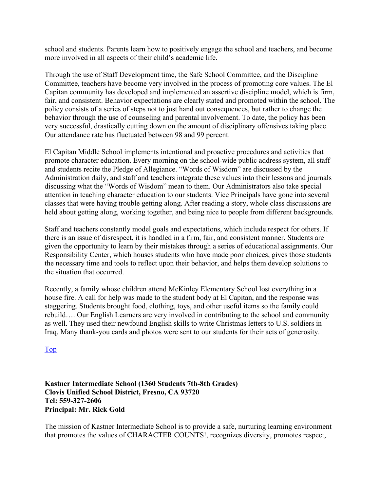school and students. Parents learn how to positively engage the school and teachers, and become more involved in all aspects of their child's academic life.

Through the use of Staff Development time, the Safe School Committee, and the Discipline Committee, teachers have become very involved in the process of promoting core values. The El Capitan community has developed and implemented an assertive discipline model, which is firm, fair, and consistent. Behavior expectations are clearly stated and promoted within the school. The policy consists of a series of steps not to just hand out consequences, but rather to change the behavior through the use of counseling and parental involvement. To date, the policy has been very successful, drastically cutting down on the amount of disciplinary offensives taking place. Our attendance rate has fluctuated between 98 and 99 percent.

El Capitan Middle School implements intentional and proactive procedures and activities that promote character education. Every morning on the school-wide public address system, all staff and students recite the Pledge of Allegiance. "Words of Wisdom" are discussed by the Administration daily, and staff and teachers integrate these values into their lessons and journals discussing what the "Words of Wisdom" mean to them. Our Administrators also take special attention in teaching character education to our students. Vice Principals have gone into several classes that were having trouble getting along. After reading a story, whole class discussions are held about getting along, working together, and being nice to people from different backgrounds.

Staff and teachers constantly model goals and expectations, which include respect for others. If there is an issue of disrespect, it is handled in a firm, fair, and consistent manner. Students are given the opportunity to learn by their mistakes through a series of educational assignments. Our Responsibility Center, which houses students who have made poor choices, gives those students the necessary time and tools to reflect upon their behavior, and helps them develop solutions to the situation that occurred.

Recently, a family whose children attend McKinley Elementary School lost everything in a house fire. A call for help was made to the student body at El Capitan, and the response was staggering. Students brought food, clothing, toys, and other useful items so the family could rebuild…. Our English Learners are very involved in contributing to the school and community as well. They used their newfound English skills to write Christmas letters to U.S. soldiers in Iraq. Many thank-you cards and photos were sent to our students for their acts of generosity.

Top

#### **Kastner Intermediate School (1360 Students 7th-8th Grades) Clovis Unified School District, Fresno, CA 93720 Tel: 559-327-2606 Principal: Mr. Rick Gold**

The mission of Kastner Intermediate School is to provide a safe, nurturing learning environment that promotes the values of CHARACTER COUNTS!, recognizes diversity, promotes respect,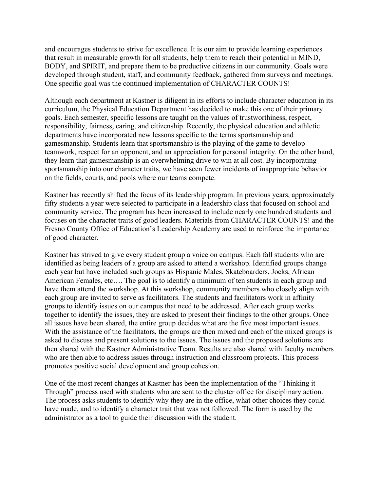and encourages students to strive for excellence. It is our aim to provide learning experiences that result in measurable growth for all students, help them to reach their potential in MIND, BODY, and SPIRIT, and prepare them to be productive citizens in our community. Goals were developed through student, staff, and community feedback, gathered from surveys and meetings. One specific goal was the continued implementation of CHARACTER COUNTS!

Although each department at Kastner is diligent in its efforts to include character education in its curriculum, the Physical Education Department has decided to make this one of their primary goals. Each semester, specific lessons are taught on the values of trustworthiness, respect, responsibility, fairness, caring, and citizenship. Recently, the physical education and athletic departments have incorporated new lessons specific to the terms sportsmanship and gamesmanship. Students learn that sportsmanship is the playing of the game to develop teamwork, respect for an opponent, and an appreciation for personal integrity. On the other hand, they learn that gamesmanship is an overwhelming drive to win at all cost. By incorporating sportsmanship into our character traits, we have seen fewer incidents of inappropriate behavior on the fields, courts, and pools where our teams compete.

Kastner has recently shifted the focus of its leadership program. In previous years, approximately fifty students a year were selected to participate in a leadership class that focused on school and community service. The program has been increased to include nearly one hundred students and focuses on the character traits of good leaders. Materials from CHARACTER COUNTS! and the Fresno County Office of Education's Leadership Academy are used to reinforce the importance of good character.

Kastner has strived to give every student group a voice on campus. Each fall students who are identified as being leaders of a group are asked to attend a workshop. Identified groups change each year but have included such groups as Hispanic Males, Skateboarders, Jocks, African American Females, etc…. The goal is to identify a minimum of ten students in each group and have them attend the workshop. At this workshop, community members who closely align with each group are invited to serve as facilitators. The students and facilitators work in affinity groups to identify issues on our campus that need to be addressed. After each group works together to identify the issues, they are asked to present their findings to the other groups. Once all issues have been shared, the entire group decides what are the five most important issues. With the assistance of the facilitators, the groups are then mixed and each of the mixed groups is asked to discuss and present solutions to the issues. The issues and the proposed solutions are then shared with the Kastner Administrative Team. Results are also shared with faculty members who are then able to address issues through instruction and classroom projects. This process promotes positive social development and group cohesion.

One of the most recent changes at Kastner has been the implementation of the "Thinking it Through" process used with students who are sent to the cluster office for disciplinary action. The process asks students to identify why they are in the office, what other choices they could have made, and to identify a character trait that was not followed. The form is used by the administrator as a tool to guide their discussion with the student.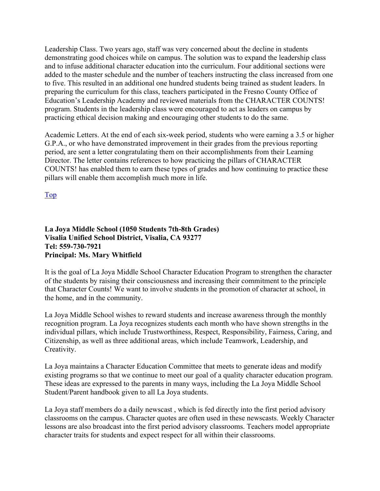Leadership Class. Two years ago, staff was very concerned about the decline in students demonstrating good choices while on campus. The solution was to expand the leadership class and to infuse additional character education into the curriculum. Four additional sections were added to the master schedule and the number of teachers instructing the class increased from one to five. This resulted in an additional one hundred students being trained as student leaders. In preparing the curriculum for this class, teachers participated in the Fresno County Office of Education's Leadership Academy and reviewed materials from the CHARACTER COUNTS! program. Students in the leadership class were encouraged to act as leaders on campus by practicing ethical decision making and encouraging other students to do the same.

Academic Letters. At the end of each six-week period, students who were earning a 3.5 or higher G.P.A., or who have demonstrated improvement in their grades from the previous reporting period, are sent a letter congratulating them on their accomplishments from their Learning Director. The letter contains references to how practicing the pillars of CHARACTER COUNTS! has enabled them to earn these types of grades and how continuing to practice these pillars will enable them accomplish much more in life.

Top

#### **La Joya Middle School (1050 Students 7th-8th Grades) Visalia Unified School District, Visalia, CA 93277 Tel: 559-730-7921 Principal: Ms. Mary Whitfield**

It is the goal of La Joya Middle School Character Education Program to strengthen the character of the students by raising their consciousness and increasing their commitment to the principle that Character Counts! We want to involve students in the promotion of character at school, in the home, and in the community.

La Joya Middle School wishes to reward students and increase awareness through the monthly recognition program. La Joya recognizes students each month who have shown strengths in the individual pillars, which include Trustworthiness, Respect, Responsibility, Fairness, Caring, and Citizenship, as well as three additional areas, which include Teamwork, Leadership, and Creativity.

La Joya maintains a Character Education Committee that meets to generate ideas and modify existing programs so that we continue to meet our goal of a quality character education program. These ideas are expressed to the parents in many ways, including the La Joya Middle School Student/Parent handbook given to all La Joya students.

La Joya staff members do a daily newscast , which is fed directly into the first period advisory classrooms on the campus. Character quotes are often used in these newscasts. Weekly Character lessons are also broadcast into the first period advisory classrooms. Teachers model appropriate character traits for students and expect respect for all within their classrooms.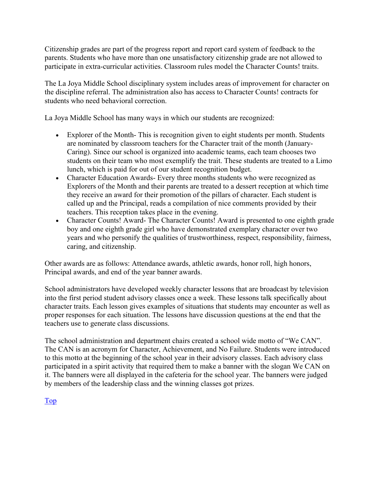Citizenship grades are part of the progress report and report card system of feedback to the parents. Students who have more than one unsatisfactory citizenship grade are not allowed to participate in extra-curricular activities. Classroom rules model the Character Counts! traits.

The La Joya Middle School disciplinary system includes areas of improvement for character on the discipline referral. The administration also has access to Character Counts! contracts for students who need behavioral correction.

La Joya Middle School has many ways in which our students are recognized:

- Explorer of the Month-This is recognition given to eight students per month. Students are nominated by classroom teachers for the Character trait of the month (January-Caring). Since our school is organized into academic teams, each team chooses two students on their team who most exemplify the trait. These students are treated to a Limo lunch, which is paid for out of our student recognition budget.
- Character Education Awards- Every three months students who were recognized as Explorers of the Month and their parents are treated to a dessert reception at which time they receive an award for their promotion of the pillars of character. Each student is called up and the Principal, reads a compilation of nice comments provided by their teachers. This reception takes place in the evening.
- Character Counts! Award- The Character Counts! Award is presented to one eighth grade boy and one eighth grade girl who have demonstrated exemplary character over two years and who personify the qualities of trustworthiness, respect, responsibility, fairness, caring, and citizenship.

Other awards are as follows: Attendance awards, athletic awards, honor roll, high honors, Principal awards, and end of the year banner awards.

School administrators have developed weekly character lessons that are broadcast by television into the first period student advisory classes once a week. These lessons talk specifically about character traits. Each lesson gives examples of situations that students may encounter as well as proper responses for each situation. The lessons have discussion questions at the end that the teachers use to generate class discussions.

The school administration and department chairs created a school wide motto of "We CAN". The CAN is an acronym for Character, Achievement, and No Failure. Students were introduced to this motto at the beginning of the school year in their advisory classes. Each advisory class participated in a spirit activity that required them to make a banner with the slogan We CAN on it. The banners were all displayed in the cafeteria for the school year. The banners were judged by members of the leadership class and the winning classes got prizes.

#### Top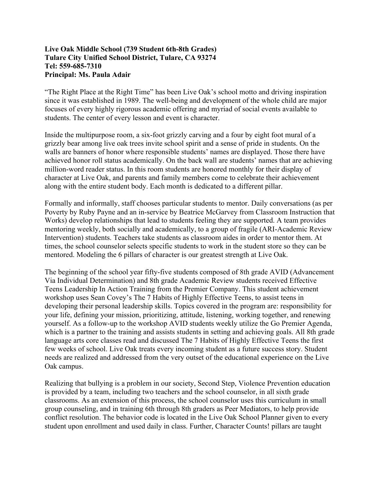#### **Live Oak Middle School (739 Student 6th-8th Grades) Tulare City Unified School District, Tulare, CA 93274 Tel: 559-685-7310 Principal: Ms. Paula Adair**

"The Right Place at the Right Time" has been Live Oak's school motto and driving inspiration since it was established in 1989. The well-being and development of the whole child are major focuses of every highly rigorous academic offering and myriad of social events available to students. The center of every lesson and event is character.

Inside the multipurpose room, a six-foot grizzly carving and a four by eight foot mural of a grizzly bear among live oak trees invite school spirit and a sense of pride in students. On the walls are banners of honor where responsible students' names are displayed. Those there have achieved honor roll status academically. On the back wall are students' names that are achieving million-word reader status. In this room students are honored monthly for their display of character at Live Oak, and parents and family members come to celebrate their achievement along with the entire student body. Each month is dedicated to a different pillar.

Formally and informally, staff chooses particular students to mentor. Daily conversations (as per Poverty by Ruby Payne and an in-service by Beatrice McGarvey from Classroom Instruction that Works) develop relationships that lead to students feeling they are supported. A team provides mentoring weekly, both socially and academically, to a group of fragile (ARI-Academic Review Intervention) students. Teachers take students as classroom aides in order to mentor them. At times, the school counselor selects specific students to work in the student store so they can be mentored. Modeling the 6 pillars of character is our greatest strength at Live Oak.

The beginning of the school year fifty-five students composed of 8th grade AVID (Advancement Via Individual Determination) and 8th grade Academic Review students received Effective Teens Leadership In Action Training from the Premier Company. This student achievement workshop uses Sean Covey's The 7 Habits of Highly Effective Teens, to assist teens in developing their personal leadership skills. Topics covered in the program are: responsibility for your life, defining your mission, prioritizing, attitude, listening, working together, and renewing yourself. As a follow-up to the workshop AVID students weekly utilize the Go Premier Agenda, which is a partner to the training and assists students in setting and achieving goals. All 8th grade language arts core classes read and discussed The 7 Habits of Highly Effective Teens the first few weeks of school. Live Oak treats every incoming student as a future success story. Student needs are realized and addressed from the very outset of the educational experience on the Live Oak campus.

Realizing that bullying is a problem in our society, Second Step, Violence Prevention education is provided by a team, including two teachers and the school counselor, in all sixth grade classrooms. As an extension of this process, the school counselor uses this curriculum in small group counseling, and in training 6th through 8th graders as Peer Mediators, to help provide conflict resolution. The behavior code is located in the Live Oak School Planner given to every student upon enrollment and used daily in class. Further, Character Counts! pillars are taught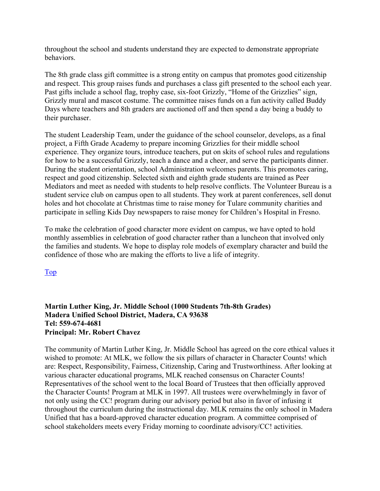throughout the school and students understand they are expected to demonstrate appropriate behaviors.

The 8th grade class gift committee is a strong entity on campus that promotes good citizenship and respect. This group raises funds and purchases a class gift presented to the school each year. Past gifts include a school flag, trophy case, six-foot Grizzly, "Home of the Grizzlies" sign, Grizzly mural and mascot costume. The committee raises funds on a fun activity called Buddy Days where teachers and 8th graders are auctioned off and then spend a day being a buddy to their purchaser.

The student Leadership Team, under the guidance of the school counselor, develops, as a final project, a Fifth Grade Academy to prepare incoming Grizzlies for their middle school experience. They organize tours, introduce teachers, put on skits of school rules and regulations for how to be a successful Grizzly, teach a dance and a cheer, and serve the participants dinner. During the student orientation, school Administration welcomes parents. This promotes caring, respect and good citizenship. Selected sixth and eighth grade students are trained as Peer Mediators and meet as needed with students to help resolve conflicts. The Volunteer Bureau is a student service club on campus open to all students. They work at parent conferences, sell donut holes and hot chocolate at Christmas time to raise money for Tulare community charities and participate in selling Kids Day newspapers to raise money for Children's Hospital in Fresno.

To make the celebration of good character more evident on campus, we have opted to hold monthly assemblies in celebration of good character rather than a luncheon that involved only the families and students. We hope to display role models of exemplary character and build the confidence of those who are making the efforts to live a life of integrity.

Top

#### **Martin Luther King, Jr. Middle School (1000 Students 7th-8th Grades) Madera Unified School District, Madera, CA 93638 Tel: 559-674-4681 Principal: Mr. Robert Chavez**

The community of Martin Luther King, Jr. Middle School has agreed on the core ethical values it wished to promote: At MLK, we follow the six pillars of character in Character Counts! which are: Respect, Responsibility, Fairness, Citizenship, Caring and Trustworthiness. After looking at various character educational programs, MLK reached consensus on Character Counts! Representatives of the school went to the local Board of Trustees that then officially approved the Character Counts! Program at MLK in 1997. All trustees were overwhelmingly in favor of not only using the CC! program during our advisory period but also in favor of infusing it throughout the curriculum during the instructional day. MLK remains the only school in Madera Unified that has a board-approved character education program. A committee comprised of school stakeholders meets every Friday morning to coordinate advisory/CC! activities.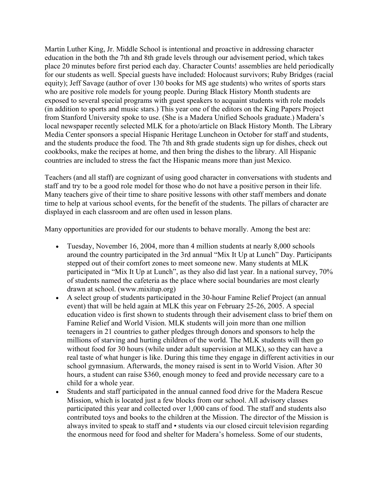Martin Luther King, Jr. Middle School is intentional and proactive in addressing character education in the both the 7th and 8th grade levels through our advisement period, which takes place 20 minutes before first period each day. Character Counts! assemblies are held periodically for our students as well. Special guests have included: Holocaust survivors; Ruby Bridges (racial equity); Jeff Savage (author of over 130 books for MS age students) who writes of sports stars who are positive role models for young people. During Black History Month students are exposed to several special programs with guest speakers to acquaint students with role models (in addition to sports and music stars.) This year one of the editors on the King Papers Project from Stanford University spoke to use. (She is a Madera Unified Schools graduate.) Madera's local newspaper recently selected MLK for a photo/article on Black History Month. The Library Media Center sponsors a special Hispanic Heritage Luncheon in October for staff and students, and the students produce the food. The 7th and 8th grade students sign up for dishes, check out cookbooks, make the recipes at home, and then bring the dishes to the library. All Hispanic countries are included to stress the fact the Hispanic means more than just Mexico.

Teachers (and all staff) are cognizant of using good character in conversations with students and staff and try to be a good role model for those who do not have a positive person in their life. Many teachers give of their time to share positive lessons with other staff members and donate time to help at various school events, for the benefit of the students. The pillars of character are displayed in each classroom and are often used in lesson plans.

Many opportunities are provided for our students to behave morally. Among the best are:

- Tuesday, November 16, 2004, more than 4 million students at nearly 8,000 schools around the country participated in the 3rd annual "Mix It Up at Lunch" Day. Participants stepped out of their comfort zones to meet someone new. Many students at MLK participated in "Mix It Up at Lunch", as they also did last year. In a national survey, 70% of students named the cafeteria as the place where social boundaries are most clearly drawn at school. (www.mixitup.org)
- A select group of students participated in the 30-hour Famine Relief Project (an annual event) that will be held again at MLK this year on February 25-26, 2005. A special education video is first shown to students through their advisement class to brief them on Famine Relief and World Vision. MLK students will join more than one million teenagers in 21 countries to gather pledges through donors and sponsors to help the millions of starving and hurting children of the world. The MLK students will then go without food for 30 hours (while under adult supervision at MLK), so they can have a real taste of what hunger is like. During this time they engage in different activities in our school gymnasium. Afterwards, the money raised is sent in to World Vision. After 30 hours, a student can raise \$360, enough money to feed and provide necessary care to a child for a whole year.
- Students and staff participated in the annual canned food drive for the Madera Rescue Mission, which is located just a few blocks from our school. All advisory classes participated this year and collected over 1,000 cans of food. The staff and students also contributed toys and books to the children at the Mission. The director of the Mission is always invited to speak to staff and • students via our closed circuit television regarding the enormous need for food and shelter for Madera's homeless. Some of our students,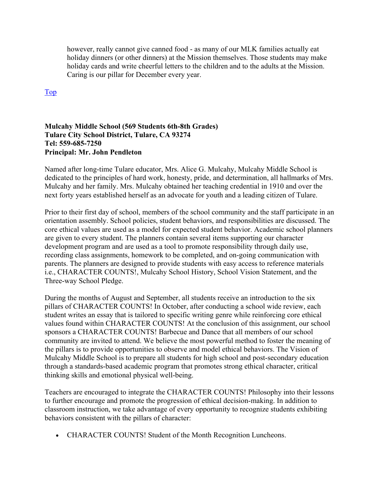however, really cannot give canned food - as many of our MLK families actually eat holiday dinners (or other dinners) at the Mission themselves. Those students may make holiday cards and write cheerful letters to the children and to the adults at the Mission. Caring is our pillar for December every year.

Top

#### **Mulcahy Middle School (569 Students 6th-8th Grades) Tulare City School District, Tulare, CA 93274 Tel: 559-685-7250 Principal: Mr. John Pendleton**

Named after long-time Tulare educator, Mrs. Alice G. Mulcahy, Mulcahy Middle School is dedicated to the principles of hard work, honesty, pride, and determination, all hallmarks of Mrs. Mulcahy and her family. Mrs. Mulcahy obtained her teaching credential in 1910 and over the next forty years established herself as an advocate for youth and a leading citizen of Tulare.

Prior to their first day of school, members of the school community and the staff participate in an orientation assembly. School policies, student behaviors, and responsibilities are discussed. The core ethical values are used as a model for expected student behavior. Academic school planners are given to every student. The planners contain several items supporting our character development program and are used as a tool to promote responsibility through daily use, recording class assignments, homework to be completed, and on-going communication with parents. The planners are designed to provide students with easy access to reference materials i.e., CHARACTER COUNTS!, Mulcahy School History, School Vision Statement, and the Three-way School Pledge.

During the months of August and September, all students receive an introduction to the six pillars of CHARACTER COUNTS! In October, after conducting a school wide review, each student writes an essay that is tailored to specific writing genre while reinforcing core ethical values found within CHARACTER COUNTS! At the conclusion of this assignment, our school sponsors a CHARACTER COUNTS! Barbecue and Dance that all members of our school community are invited to attend. We believe the most powerful method to foster the meaning of the pillars is to provide opportunities to observe and model ethical behaviors. The Vision of Mulcahy Middle School is to prepare all students for high school and post-secondary education through a standards-based academic program that promotes strong ethical character, critical thinking skills and emotional physical well-being.

Teachers are encouraged to integrate the CHARACTER COUNTS! Philosophy into their lessons to further encourage and promote the progression of ethical decision-making. In addition to classroom instruction, we take advantage of every opportunity to recognize students exhibiting behaviors consistent with the pillars of character:

• CHARACTER COUNTS! Student of the Month Recognition Luncheons.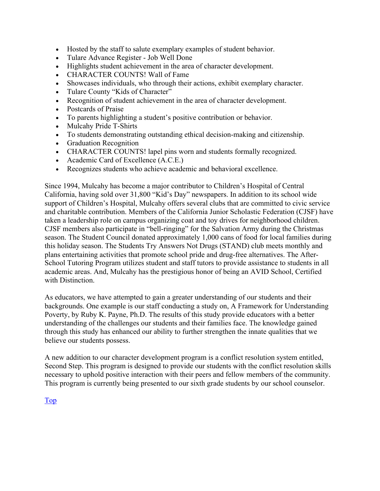- Hosted by the staff to salute exemplary examples of student behavior.
- Tulare Advance Register Job Well Done
- Highlights student achievement in the area of character development.
- CHARACTER COUNTS! Wall of Fame
- Showcases individuals, who through their actions, exhibit exemplary character.
- Tulare County "Kids of Character"
- Recognition of student achievement in the area of character development.
- Postcards of Praise
- To parents highlighting a student's positive contribution or behavior.
- Mulcahy Pride T-Shirts
- To students demonstrating outstanding ethical decision-making and citizenship.
- Graduation Recognition
- CHARACTER COUNTS! lapel pins worn and students formally recognized.
- Academic Card of Excellence (A.C.E.)
- Recognizes students who achieve academic and behavioral excellence.

Since 1994, Mulcahy has become a major contributor to Children's Hospital of Central California, having sold over 31,800 "Kid's Day" newspapers. In addition to its school wide support of Children's Hospital, Mulcahy offers several clubs that are committed to civic service and charitable contribution. Members of the California Junior Scholastic Federation (CJSF) have taken a leadership role on campus organizing coat and toy drives for neighborhood children. CJSF members also participate in "bell-ringing" for the Salvation Army during the Christmas season. The Student Council donated approximately 1,000 cans of food for local families during this holiday season. The Students Try Answers Not Drugs (STAND) club meets monthly and plans entertaining activities that promote school pride and drug-free alternatives. The After-School Tutoring Program utilizes student and staff tutors to provide assistance to students in all academic areas. And, Mulcahy has the prestigious honor of being an AVID School, Certified with Distinction.

As educators, we have attempted to gain a greater understanding of our students and their backgrounds. One example is our staff conducting a study on, A Framework for Understanding Poverty, by Ruby K. Payne, Ph.D. The results of this study provide educators with a better understanding of the challenges our students and their families face. The knowledge gained through this study has enhanced our ability to further strengthen the innate qualities that we believe our students possess.

A new addition to our character development program is a conflict resolution system entitled, Second Step. This program is designed to provide our students with the conflict resolution skills necessary to uphold positive interaction with their peers and fellow members of the community. This program is currently being presented to our sixth grade students by our school counselor.

Top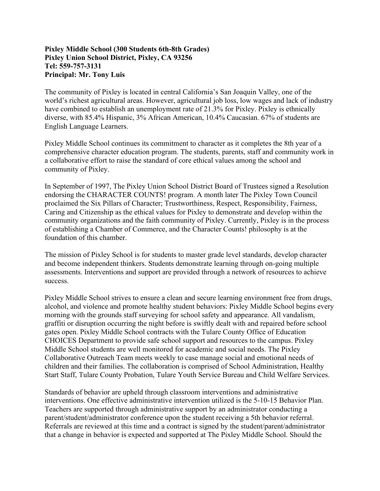#### **Pixley Middle School (300 Students 6th-8th Grades) Pixley Union School District, Pixley, CA 93256 Tel: 559-757-3131 Principal: Mr. Tony Luis**

The community of Pixley is located in central California's San Joaquin Valley, one of the world's richest agricultural areas. However, agricultural job loss, low wages and lack of industry have combined to establish an unemployment rate of 21.3% for Pixley. Pixley is ethnically diverse, with 85.4% Hispanic, 3% African American, 10.4% Caucasian. 67% of students are English Language Learners.

Pixley Middle School continues its commitment to character as it completes the 8th year of a comprehensive character education program. The students, parents, staff and community work in a collaborative effort to raise the standard of core ethical values among the school and community of Pixley.

In September of 1997, The Pixley Union School District Board of Trustees signed a Resolution endorsing the CHARACTER COUNTS! program. A month later The Pixley Town Council proclaimed the Six Pillars of Character; Trustworthiness, Respect, Responsibility, Fairness, Caring and Citizenship as the ethical values for Pixley to demonstrate and develop within the community organizations and the faith community of Pixley. Currently, Pixley is in the process of establishing a Chamber of Commerce, and the Character Counts! philosophy is at the foundation of this chamber.

The mission of Pixley School is for students to master grade level standards, develop character and become independent thinkers. Students demonstrate learning through on-going multiple assessments. Interventions and support are provided through a network of resources to achieve success.

Pixley Middle School strives to ensure a clean and secure learning environment free from drugs, alcohol, and violence and promote healthy student behaviors: Pixley Middle School begins every morning with the grounds staff surveying for school safety and appearance. All vandalism, graffiti or disruption occurring the night before is swiftly dealt with and repaired before school gates open. Pixley Middle School contracts with the Tulare County Office of Education CHOICES Department to provide safe school support and resources to the campus. Pixley Middle School students are well monitored for academic and social needs. The Pixley Collaborative Outreach Team meets weekly to case manage social and emotional needs of children and their families. The collaboration is comprised of School Administration, Healthy Start Staff, Tulare County Probation, Tulare Youth Service Bureau and Child Welfare Services.

Standards of behavior are upheld through classroom interventions and administrative interventions. One effective administrative intervention utilized is the 5-10-15 Behavior Plan. Teachers are supported through administrative support by an administrator conducting a parent/student/administrator conference upon the student receiving a 5th behavior referral. Referrals are reviewed at this time and a contract is signed by the student/parent/administrator that a change in behavior is expected and supported at The Pixley Middle School. Should the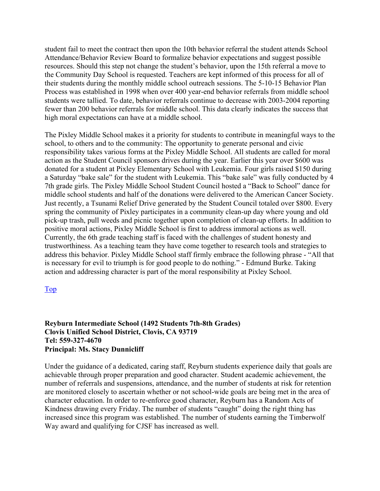student fail to meet the contract then upon the 10th behavior referral the student attends School Attendance/Behavior Review Board to formalize behavior expectations and suggest possible resources. Should this step not change the student's behavior, upon the 15th referral a move to the Community Day School is requested. Teachers are kept informed of this process for all of their students during the monthly middle school outreach sessions. The 5-10-15 Behavior Plan Process was established in 1998 when over 400 year-end behavior referrals from middle school students were tallied. To date, behavior referrals continue to decrease with 2003-2004 reporting fewer than 200 behavior referrals for middle school. This data clearly indicates the success that high moral expectations can have at a middle school.

The Pixley Middle School makes it a priority for students to contribute in meaningful ways to the school, to others and to the community: The opportunity to generate personal and civic responsibility takes various forms at the Pixley Middle School. All students are called for moral action as the Student Council sponsors drives during the year. Earlier this year over \$600 was donated for a student at Pixley Elementary School with Leukemia. Four girls raised \$150 during a Saturday "bake sale" for the student with Leukemia. This "bake sale" was fully conducted by 4 7th grade girls. The Pixley Middle School Student Council hosted a "Back to School" dance for middle school students and half of the donations were delivered to the American Cancer Society. Just recently, a Tsunami Relief Drive generated by the Student Council totaled over \$800. Every spring the community of Pixley participates in a community clean-up day where young and old pick-up trash, pull weeds and picnic together upon completion of clean-up efforts. In addition to positive moral actions, Pixley Middle School is first to address immoral actions as well. Currently, the 6th grade teaching staff is faced with the challenges of student honesty and trustworthiness. As a teaching team they have come together to research tools and strategies to address this behavior. Pixley Middle School staff firmly embrace the following phrase - "All that is necessary for evil to triumph is for good people to do nothing." - Edmund Burke. Taking action and addressing character is part of the moral responsibility at Pixley School.

#### Top

#### **Reyburn Intermediate School (1492 Students 7th-8th Grades) Clovis Unified School District, Clovis, CA 93719 Tel: 559-327-4670 Principal: Ms. Stacy Dunnicliff**

Under the guidance of a dedicated, caring staff, Reyburn students experience daily that goals are achievable through proper preparation and good character. Student academic achievement, the number of referrals and suspensions, attendance, and the number of students at risk for retention are monitored closely to ascertain whether or not school-wide goals are being met in the area of character education. In order to re-enforce good character, Reyburn has a Random Acts of Kindness drawing every Friday. The number of students "caught" doing the right thing has increased since this program was established. The number of students earning the Timberwolf Way award and qualifying for CJSF has increased as well.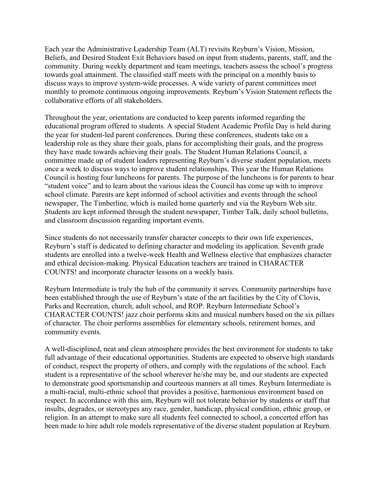Each year the Administrative Leadership Team (ALT) revisits Reyburn's Vision, Mission, Beliefs, and Desired Student Exit Behaviors based on input from students, parents, staff, and the community. During weekly department and team meetings, teachers assess the school's progress towards goal attainment. The classified staff meets with the principal on a monthly basis to discuss ways to improve system-wide processes. A wide variety of parent committees meet monthly to promote continuous ongoing improvements. Reyburn's Vision Statement reflects the collaborative efforts of all stakeholders.

Throughout the year, orientations are conducted to keep parents informed regarding the educational program offered to students. A special Student Academic Profile Day is held during the year for student-led parent conferences. During these conferences, students take on a leadership role as they share their goals, plans for accomplishing their goals, and the progress they have made towards achieving their goals. The Student Human Relations Council, a committee made up of student leaders representing Reyburn's diverse student population, meets once a week to discuss ways to improve student relationships. This year the Human Relations Council is hosting four luncheons for parents. The purpose of the luncheons is for parents to hear "student voice" and to learn about the various ideas the Council has come up with to improve school climate. Parents are kept informed of school activities and events through the school newspaper, The Timberline, which is mailed home quarterly and via the Reyburn Web site. Students are kept informed through the student newspaper, Timber Talk, daily school bulletins, and classroom discussion regarding important events.

Since students do not necessarily transfer character concepts to their own life experiences, Reyburn's staff is dedicated to defining character and modeling its application. Seventh grade students are enrolled into a twelve-week Health and Wellness elective that emphasizes character and ethical decision-making. Physical Education teachers are trained in CHARACTER COUNTS! and incorporate character lessons on a weekly basis.

Reyburn Intermediate is truly the hub of the community it serves. Community partnerships have been established through the use of Reyburn's state of the art facilities by the City of Clovis, Parks and Recreation, church, adult school, and ROP. Reyburn Intermediate School's CHARACTER COUNTS! jazz choir performs skits and musical numbers based on the six pillars of character. The choir performs assemblies for elementary schools, retirement homes, and community events.

A well-disciplined, neat and clean atmosphere provides the best environment for students to take full advantage of their educational opportunities. Students are expected to observe high standards of conduct, respect the property of others, and comply with the regulations of the school. Each student is a representative of the school wherever he/she may be, and our students are expected to demonstrate good sportsmanship and courteous manners at all times. Reyburn Intermediate is a multi-racial, multi-ethnic school that provides a positive, harmonious environment based on respect. In accordance with this aim, Reyburn will not tolerate behavior by students or staff that insults, degrades, or stereotypes any race, gender, handicap, physical condition, ethnic group, or religion. In an attempt to make sure all students feel connected to school, a concerted effort has been made to hire adult role models representative of the diverse student population at Reyburn.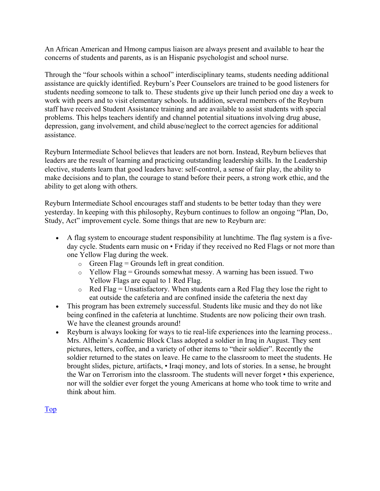An African American and Hmong campus liaison are always present and available to hear the concerns of students and parents, as is an Hispanic psychologist and school nurse.

Through the "four schools within a school" interdisciplinary teams, students needing additional assistance are quickly identified. Reyburn's Peer Counselors are trained to be good listeners for students needing someone to talk to. These students give up their lunch period one day a week to work with peers and to visit elementary schools. In addition, several members of the Reyburn staff have received Student Assistance training and are available to assist students with special problems. This helps teachers identify and channel potential situations involving drug abuse, depression, gang involvement, and child abuse/neglect to the correct agencies for additional assistance.

Reyburn Intermediate School believes that leaders are not born. Instead, Reyburn believes that leaders are the result of learning and practicing outstanding leadership skills. In the Leadership elective, students learn that good leaders have: self-control, a sense of fair play, the ability to make decisions and to plan, the courage to stand before their peers, a strong work ethic, and the ability to get along with others.

Reyburn Intermediate School encourages staff and students to be better today than they were yesterday. In keeping with this philosophy, Reyburn continues to follow an ongoing "Plan, Do, Study, Act" improvement cycle. Some things that are new to Reyburn are:

- A flag system to encourage student responsibility at lunchtime. The flag system is a fiveday cycle. Students earn music on • Friday if they received no Red Flags or not more than one Yellow Flag during the week.
	- $\circ$  Green Flag = Grounds left in great condition.
	- $\circ$  Yellow Flag = Grounds somewhat messy. A warning has been issued. Two Yellow Flags are equal to 1 Red Flag.
	- $\circ$  Red Flag = Unsatisfactory. When students earn a Red Flag they lose the right to eat outside the cafeteria and are confined inside the cafeteria the next day
- This program has been extremely successful. Students like music and they do not like being confined in the cafeteria at lunchtime. Students are now policing their own trash. We have the cleanest grounds around!
- Reyburn is always looking for ways to tie real-life experiences into the learning process.. Mrs. Alfheim's Academic Block Class adopted a soldier in Iraq in August. They sent pictures, letters, coffee, and a variety of other items to "their soldier". Recently the soldier returned to the states on leave. He came to the classroom to meet the students. He brought slides, picture, artifacts, • Iraqi money, and lots of stories. In a sense, he brought the War on Terrorism into the classroom. The students will never forget • this experience, nor will the soldier ever forget the young Americans at home who took time to write and think about him.

Top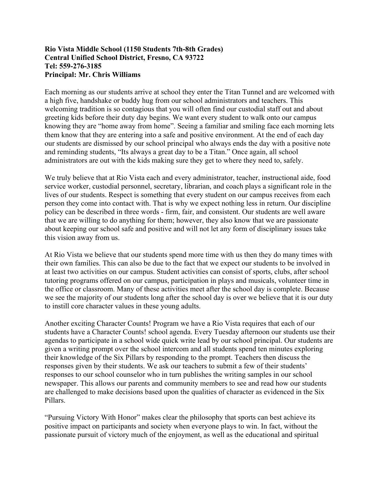#### **Rio Vista Middle School (1150 Students 7th-8th Grades) Central Unified School District, Fresno, CA 93722 Tel: 559-276-3185 Principal: Mr. Chris Williams**

Each morning as our students arrive at school they enter the Titan Tunnel and are welcomed with a high five, handshake or buddy hug from our school administrators and teachers. This welcoming tradition is so contagious that you will often find our custodial staff out and about greeting kids before their duty day begins. We want every student to walk onto our campus knowing they are "home away from home". Seeing a familiar and smiling face each morning lets them know that they are entering into a safe and positive environment. At the end of each day our students are dismissed by our school principal who always ends the day with a positive note and reminding students, "Its always a great day to be a Titan." Once again, all school administrators are out with the kids making sure they get to where they need to, safely.

We truly believe that at Rio Vista each and every administrator, teacher, instructional aide, food service worker, custodial personnel, secretary, librarian, and coach plays a significant role in the lives of our students. Respect is something that every student on our campus receives from each person they come into contact with. That is why we expect nothing less in return. Our discipline policy can be described in three words - firm, fair, and consistent. Our students are well aware that we are willing to do anything for them; however, they also know that we are passionate about keeping our school safe and positive and will not let any form of disciplinary issues take this vision away from us.

At Rio Vista we believe that our students spend more time with us then they do many times with their own families. This can also be due to the fact that we expect our students to be involved in at least two activities on our campus. Student activities can consist of sports, clubs, after school tutoring programs offered on our campus, participation in plays and musicals, volunteer time in the office or classroom. Many of these activities meet after the school day is complete. Because we see the majority of our students long after the school day is over we believe that it is our duty to instill core character values in these young adults.

Another exciting Character Counts! Program we have a Rio Vista requires that each of our students have a Character Counts! school agenda. Every Tuesday afternoon our students use their agendas to participate in a school wide quick write lead by our school principal. Our students are given a writing prompt over the school intercom and all students spend ten minutes exploring their knowledge of the Six Pillars by responding to the prompt. Teachers then discuss the responses given by their students. We ask our teachers to submit a few of their students' responses to our school counselor who in turn publishes the writing samples in our school newspaper. This allows our parents and community members to see and read how our students are challenged to make decisions based upon the qualities of character as evidenced in the Six Pillars.

"Pursuing Victory With Honor" makes clear the philosophy that sports can best achieve its positive impact on participants and society when everyone plays to win. In fact, without the passionate pursuit of victory much of the enjoyment, as well as the educational and spiritual